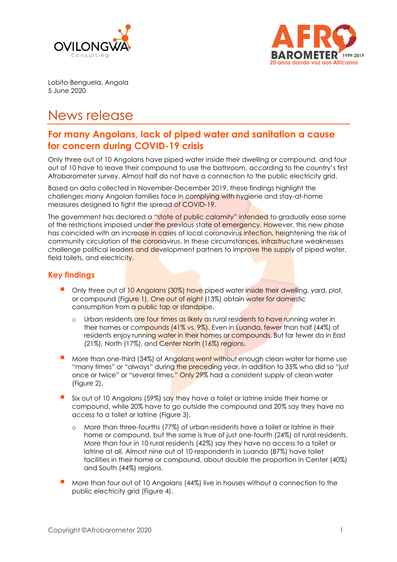



Lobito-Benguela, Angola 5 June 2020

# News release

## **For many Angolans, lack of piped water and sanitation a cause for concern during COVID-19 crisis**

Only three out of 10 Angolans have piped water inside their dwelling or compound, and four out of 10 have to leave their compound to use the bathroom, according to the country's first Afrobarometer survey. Almost half do not have a connection to the public electricity grid.

Based on data collected in November-December 2019, these findings highlight the challenges many Angolan families face in complying with hygiene and stay-at-home measures designed to fight the spread of COVID-19.

The government has declared a "state of public calamity" intended to gradually ease some of the restrictions imposed under the previous state of emergency. However, this new phase has coincided with an increase in cases of local coronavirus infection, heightening the risk of community circulation of the coronavirus. In these circumstances, infrastructure weaknesses challenge political leaders and development partners to improve the supply of piped water, field toilets, and electricity.

## **Key findings**

- Only three out of 10 Angolans (30%) have piped water inside their dwelling, yard, plot, or compound (Figure 1). One out of eight (13%) obtain water for domestic consumption from a public tap or standpipe.
	- o Urban residents are four times as likely as rural residents to have running water in their homes or compounds (41% vs. 9%). Even in Luanda, fewer than half (44%) of residents enjoy running water in their homes or compounds. But far fewer do in East (21%), North (17%), and Center North (16%) regions.
- More than one-third (34%) of Angolans went without enough clean water for home use "many times" or "always" during the preceding year, in addition to 35% who did so "just once or twice" or "several times." Only 29% had a consistent supply of clean water (Figure 2).
- Six out of 10 Angolans (59%) say they have a toilet or latrine inside their home or compound, while 20% have to go outside the compound and 20% say they have no access to a toilet or latrine (Figure 3).
	- o More than three-fourths (77%) of urban residents have a toilet or latrine in their home or compound, but the same is true of just one-fourth (24%) of rural residents. More than four in 10 rural residents (42%) say they have no access to a toilet or latrine at all. Almost nine out of 10 respondents in Luanda (87%) have toilet facilities in their home or compound, about double the proportion in Center (40%) and South (44%) regions.
- More than four out of 10 Angolans (44%) live in houses without a connection to the public electricity grid (Figure 4).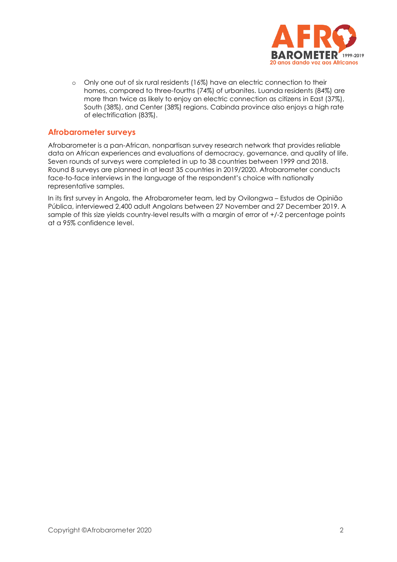

o Only one out of six rural residents (16%) have an electric connection to their homes, compared to three-fourths (74%) of urbanites. Luanda residents (84%) are more than twice as likely to enjoy an electric connection as citizens in East (37%), South (38%), and Center (38%) regions. Cabinda province also enjoys a high rate of electrification (83%).

#### **Afrobarometer surveys**

Afrobarometer is a pan-African, nonpartisan survey research network that provides reliable data on African experiences and evaluations of democracy, governance, and quality of life. Seven rounds of surveys were completed in up to 38 countries between 1999 and 2018. Round 8 surveys are planned in at least 35 countries in 2019/2020. Afrobarometer conducts face-to-face interviews in the language of the respondent's choice with nationally representative samples.

In its first survey in Angola, the Afrobarometer team, led by Ovilongwa – Estudos de Opinião Pública, interviewed 2,400 adult Angolans between 27 November and 27 December 2019. A sample of this size yields country-level results with a margin of error of +/-2 percentage points at a 95% confidence level.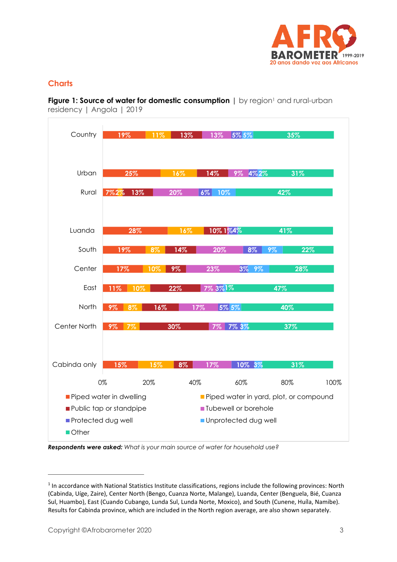

## **Charts**

**Figure 1: Source of water for domestic consumption | by region<sup>1</sup> and rural-urban** residency | Angola | 2019



*Respondents were asked: What is your main source of water for household use?*

<sup>&</sup>lt;sup>1</sup> In accordance with National Statistics Institute classifications, regions include the following provinces: North (Cabinda, Uíge, Zaire), Center North (Bengo, Cuanza Norte, Malange), Luanda, Center (Benguela, Bié, Cuanza Sul, Huambo), East (Cuando Cubango, Lunda Sul, Lunda Norte, Moxico), and South (Cunene, Huíla, Namibe). Results for Cabinda province, which are included in the North region average, are also shown separately.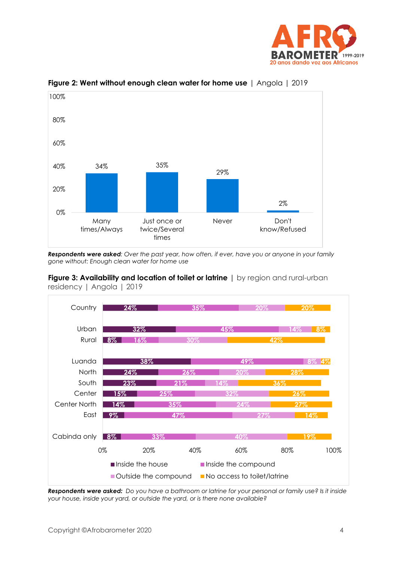



**Figure 2: Went without enough clean water for home use** | Angola | 2019

*Respondents were asked: Over the past year, how often, if ever, have you or anyone in your family gone without: Enough clean water for home use*





*Respondents were asked: Do you have a bathroom or latrine for your personal or family use? Is it inside your house, inside your yard, or outside the yard, or is there none available?*